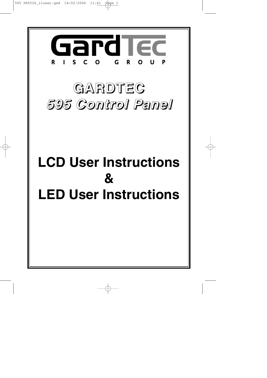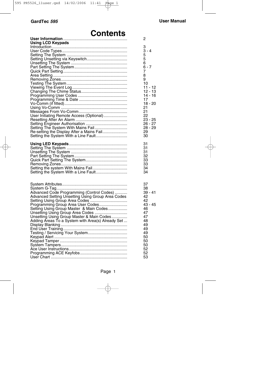# **Contents**

|                                                   | 2         |
|---------------------------------------------------|-----------|
| <b>Using LCD Keypads</b>                          |           |
|                                                   | 3         |
|                                                   | $3 - 4$   |
|                                                   | 5         |
|                                                   | 5         |
|                                                   | 6         |
|                                                   | $6 - 7$   |
|                                                   | 7         |
|                                                   | 8         |
|                                                   | 9         |
|                                                   | 10        |
|                                                   | $11 - 12$ |
|                                                   | $12 - 13$ |
|                                                   | $14 - 16$ |
|                                                   | 17        |
|                                                   | 18 - 20   |
|                                                   | 21        |
|                                                   | 21        |
| User Initiating Remote Access (Optional)          | 22        |
|                                                   | $23 - 25$ |
|                                                   | 26 - 27   |
| Setting The System With Mains Fail                | $28 - 29$ |
| Re-setting the Display After a Mains Fail         | 29        |
|                                                   | 30        |
|                                                   |           |
|                                                   | 31        |
|                                                   | 31        |
|                                                   | 31        |
|                                                   | 32        |
|                                                   | 33        |
|                                                   | 33        |
|                                                   | 34        |
| Setting the System With a Line Fault              | 34        |
|                                                   |           |
|                                                   | 37        |
|                                                   | 38        |
| Advanced Code Programming (Control Codes)         | $39 - 41$ |
| Advanced Setting Unsetting Using Group Area Codes | 42        |
|                                                   | 42        |
| Programming Group Area User Codes                 | $43 - 45$ |
| Setting Using Group Master & Main Codes           | 46        |
|                                                   | 47        |
| Unsetting Using Group Area Codes                  | 47        |
| Unsetting Using Group Master & Main Codes         |           |
| Adding Areas To a System with Area(s) Already Set | 48        |
|                                                   | 49        |
|                                                   | 49        |
|                                                   | 49        |
|                                                   | 50        |
|                                                   | 50        |
|                                                   | 50        |
|                                                   | 52        |
|                                                   | 52        |
|                                                   | 53        |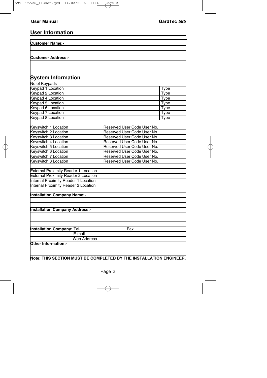## **User Information**

| <b>Customer Name:-</b>                                             |                             |             |
|--------------------------------------------------------------------|-----------------------------|-------------|
|                                                                    |                             |             |
| <b>Customer Address:-</b>                                          |                             |             |
|                                                                    |                             |             |
|                                                                    |                             |             |
|                                                                    |                             |             |
| <b>System Information</b>                                          |                             |             |
| No of Keypads                                                      |                             |             |
| <b>Keypad 1 Location</b>                                           |                             | Type        |
| <b>Keypad 2 Location</b>                                           |                             | Type        |
| <b>Keypad 4 Location</b>                                           |                             | Type        |
| Keypad 5 Location                                                  |                             | Type        |
| Keypad 6 Location                                                  |                             | <b>Type</b> |
| Keypad 7 Location                                                  |                             | <b>Type</b> |
| <b>Keypad 8 Location</b>                                           |                             | <b>Type</b> |
|                                                                    |                             |             |
| Keyswitch 1 Location                                               | Reserved User Code User No. |             |
| Keyswitch 2 Location                                               | Reserved User Code User No. |             |
| Keyswitch 3 Location                                               | Reserved User Code User No. |             |
| Keyswitch 4 Location                                               | Reserved User Code User No. |             |
| Keyswitch 5 Location                                               | Reserved User Code User No. |             |
| Keyswitch 6 Location                                               | Reserved User Code User No. |             |
| Keyswitch 7 Location                                               | Reserved User Code User No. |             |
| Keyswitch 8 Location                                               | Reserved User Code User No. |             |
|                                                                    |                             |             |
| <b>External Proximity Reader 1 Location</b>                        |                             |             |
| <b>External Proximity Reader 2 Location</b>                        |                             |             |
| <b>Internal Proximity Reader 1 Location</b>                        |                             |             |
| <b>Internal Proximity Reader 2 Location</b>                        |                             |             |
|                                                                    |                             |             |
| <b>Installation Company Name:-</b>                                 |                             |             |
|                                                                    |                             |             |
|                                                                    |                             |             |
| <b>Installation Company Address:-</b>                              |                             |             |
|                                                                    |                             |             |
|                                                                    |                             |             |
|                                                                    |                             |             |
| <b>Installation Company: Tel.</b>                                  | Fax.                        |             |
| E-mail                                                             |                             |             |
| <b>Web Address</b>                                                 |                             |             |
| Other Information:-                                                |                             |             |
|                                                                    |                             |             |
|                                                                    |                             |             |
| Note: THIS SECTION MUST BE COMPLETED BY THE INSTALLATION ENGINEER. |                             |             |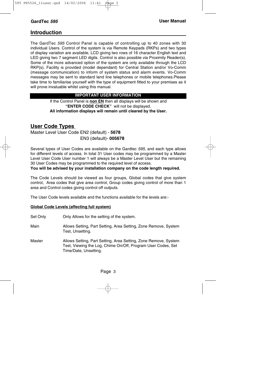### **Introduction**

The GardTec 595 Control Panel is capable of controlling up to 40 zones with 30 individual Users. Control of the system is via Remote Keypads (RKPs) and two types of display variation are available, LCD giving two rows of 16 character English text and LED giving two 7 segment LED digits. Control is also possible via Proximity Reader(s). Some of the more advanced option of the system are only available through the LCD RKP(s). Facility is provided (model dependant) for Central Station and/or Vo-Comm (message communication) to inform of system status and alarm events. Vo-Comm messages may be sent to standard land line telephones or mobile telephones.Please take time to familiarise yourself with the type of equipment fitted to your premises as it will prove invaluable whilst using this manual.

#### **IMPORTANT USER INFORMATION**

If the Control Panel is **non EN** then all displays will be shown and **"ENTER CODE CHECK"** will not be displayed. **All information displays will remain until cleared by the User.**

## **User Code Types**

Master Level User Code EN2 (default) - **5678** EN3 (default)- **005678**

Several types of User Codes are available on the Gardtec 595, and each type allows for different levels of access. In total 31 User codes may be programmed by a Master Level User Code User number 1 will always be a Master Level User but the remaining 30 User Codes may be programmed to the required level of access.

**You will be advised by your installation company on the code length required.**

The Code Levels should be viewed as four groups, Global codes that give system control, Area codes that give area control, Group codes giving control of more than 1 area and Control codes giving control off outputs.

The User Code levels available and the functions available for the levels are:-

#### **Global Code Levels (affecting full system)**

- Set Only Only Allows for the setting of the system.
- Main Allows Setting, Part Setting, Area Setting, Zone Remove, System Test, Unsetting.
- Master Allows Setting, Part Setting, Area Setting, Zone Remove, System Test, Viewing the Log, Chime On/Off, Program User Codes, Set Time/Date, Unsetting.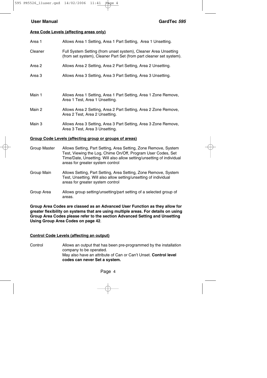#### **Area Code Levels (affecting areas only)**

| Area 1  | Allows Area 1 Setting, Area 1 Part Setting, Area 1 Unsetting.                                                                          |
|---------|----------------------------------------------------------------------------------------------------------------------------------------|
| Cleaner | Full System Setting (from unset system), Cleaner Area Unsetting<br>(from set system), Cleaner Part Set (from part cleaner set system). |
| Area 2  | Allows Area 2 Setting, Area 2 Part Setting, Area 2 Unsetting.                                                                          |
| Area 3  | Allows Area 3 Setting, Area 3 Part Setting, Area 3 Unsetting.                                                                          |
| Main 1  | Allows Area 1 Setting, Area 1 Part Setting, Area 1 Zone Remove,<br>Area 1 Test, Area 1 Unsetting.                                      |
| Main 2  | Allows Area 2 Setting, Area 2 Part Setting, Area 2 Zone Remove,<br>Area 2 Test, Area 2 Unsetting.                                      |
| Main 3  | Allows Area 3 Setting, Area 3 Part Setting, Area 3 Zone Remove,<br>Area 3 Test, Area 3 Unsetting.                                      |

#### **Group Code Levels (affecting group or groups of areas)**

- Group Master Allows Setting, Part Setting, Area Setting, Zone Remove, System Test, Viewing the Log, Chime On/Off, Program User Codes, Set Time/Date, Unsetting. Will also allow setting/unsetting of individual areas for greater system control
- Group Main Allows Setting, Part Setting, Area Setting, Zone Remove, System Test, Unsetting. Will also allow setting/unsetting of individual areas for greater system control
- Group Area Allows group setting/unsetting/part setting of a selected group of areas.

**Group Area Codes are classed as an Advanced User Function as they allow for greater flexibility on systems that are using multiple areas. For details on using Group Area Codes please refer to the section Advanced Setting and Unsetting Using Group Area Codes on page 42**.

#### **Control Code Levels (affecting an output)**

Control Allows an output that has been pre-programmed by the installation company to be operated. May also have an attribute of Can or Can't Unset. **Control level codes can never Set a system.**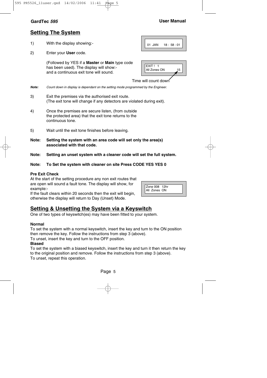### **GardTec <sup>595</sup> User Manual**

## **Setting The System**

- 1) With the display showing:-
- 2) Enter your **User** code.

(Followed by YES if a **Master** or **Main** type code has been used). The display will show: and a continuous exit tone will sound.

| EXIT!        |    |
|--------------|----|
| All Zones ON | 15 |
|              |    |

01 JAN 18: 58:01

Time will count down

**Note:** Count down in display is dependant on the setting mode programmed by the Engineer.

- 3) Exit the premises via the authorised exit route. (The exit tone will change if any detectors are violated during exit).
- 4) Once the premises are secure listen, (from outside the protected area) that the exit tone returns to the continuous tone.
- 5) Wait until the exit tone finishes before leaving.
- **Note: Setting the system with an area code will set only the area(s) associated with that code.**
- **Note: Setting an unset system with a cleaner code will set the full system.**

#### **Note: To Set the system with cleaner on site Press CODE YES YES 0**

#### **Pre Exit Check**

At the start of the setting procedure any non exit routes that are open will sound a fault tone. The display will show, for example:-

If the fault clears within 20 seconds then the exit will begin, otherwise the display will return to Day (Unset) Mode.



## **Setting & Unsetting the System via a Keyswitch**

One of two types of keyswitch(es) may have been fitted to your system.

#### **Normal**

To set the system with a normal keyswitch, insert the key and turn to the ON position then remove the key. Follow the instructions from step 3 (above).

To unset, insert the key and turn to the OFF position.

#### **Biased**

To set the system with a biased keyswitch, insert the key and turn it then return the key to the original position and remove. Follow the instructions from step 3 (above). To unset, repeat this operation.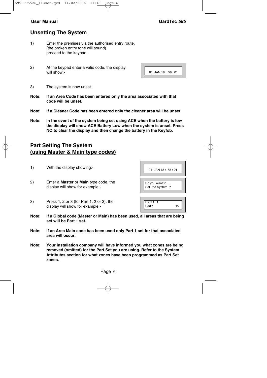## **Unsetting The System**

- 1) Enter the premises via the authorised entry route, (the broken entry tone will sound) proceed to the keypad.
- 2) At the keypad enter a valid code, the display will show:-

| $01$ JAN 18 : 58 : 01 |
|-----------------------|

- 3) The system is now unset.
- **Note: If an Area Code has been entered only the area associated with that code will be unset.**
- **Note: If a Cleaner Code has been entered only the cleaner area will be unset.**
- **Note: In the event of the system being set using ACE when the battery is low the display will show ACE Battery Low when the system is unset. Press NO to clear the display and then change the battery in the Keyfob.**

## **Part Setting The System (using Master & Main type codes)**

- 1) With the display showing:-
- 2) Enter a **Master** or **Main** type code, the display will show for example:-
- 3) Press 1, 2 or 3 (for Part 1, 2 or 3), the display will show for example:-

Part 1 15

EXIT! 1

- **Note: If a Global code (Master or Main) has been used, all areas that are being set will be Part 1 set.**
- **Note: If an Area Main code has been used only Part 1 set for that associated area will occur.**
- **Note: Your installation company will have informed you what zones are being removed (omitted) for the Part Set you are using. Refer to the System Attributes section for what zones have been programmed as Part Set zones.**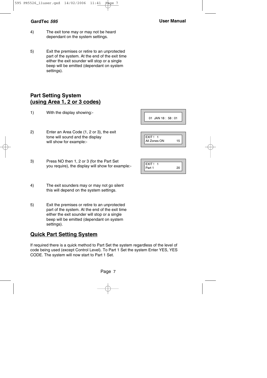- **GardTec <sup>595</sup> User Manual**
- 4) The exit tone may or may not be heard dependant on the system settings.
- 5) Exit the premises or retire to an unprotected part of the system. At the end of the exit time either the exit sounder will stop or a single beep will be emitted (dependant on system settings).

## **Part Setting System (using Area 1, 2 or 3 codes)**

- 1) With the display showing:-
- 2) Enter an Area Code (1, 2 or 3), the exit tone will sound and the display will show for example:-
- 3) Press NO then 1, 2 or 3 (for the Part Set you require), the display will show for example:-
- 4) The exit sounders may or may not go silent this will depend on the system settings.
- 5) Exit the premises or retire to an unprotected part of the system. At the end of the exit time either the exit sounder will stop or a single beep will be emitted (dependant on system settings).

## **Quick Part Setting System**

If required there is a quick method to Part Set the system regardless of the level of code being used (except Control Level). To Part 1 Set the system Enter YES, YES CODE. The system will now start to Part 1 Set.

| 01 JAN 18: 58:01 |
|------------------|
|------------------|

| ⊢xıı         |  |
|--------------|--|
| All Zones ON |  |

| EXIT!  |    |
|--------|----|
| Part 1 | 20 |
|        |    |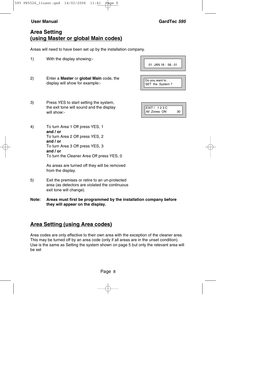## **Area Setting (using Master or global Main codes)**

Areas will need to have been set up by the installation company.

- 1) With the display showing:-
- 2) Enter a **Master** or **global Main** code, the display will show for example:-
- 3) Press YES to start setting the system, the exit tone will sound and the display will show:-
- 4) To turn Area 1 Off press YES, 1 **and / or** To turn Area 2 Off press YES, 2 **and / or** To turn Area 3 Off press YES, 3 **and / or** To turn the Cleaner Area Off press YES, 0

As areas are turned off they will be removed from the display.

- 5) Exit the premises or retire to an un-protected area (as detectors are violated the continuous exit tone will change).
- **Note: Areas must first be programmed by the installation company before they will appear on the display.**

## **Area Setting (using Area codes)**

Area codes are only effective to their own area with the exception of the cleaner area. This may be turned off by an area code (only if all areas are in the unset condition). Use is the same as Setting the system shown on page 5 but only the relevant area will be set

| 01 JAN 18: 58:01                  |  |
|-----------------------------------|--|
| Do you want to<br>SET the System? |  |

| <b>EXIT! 123C</b> |  |
|-------------------|--|
| All Zones ON      |  |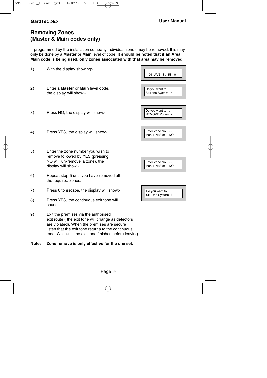## **Removing Zones (Master & Main codes only)**

If programmed by the installation company individual zones may be removed, this may only be done by a **Master** or **Main** level of code. **It should be noted that if an Area Main code is being used, only zones associated with that area may be removed.**

| 1) | With the display showing:-                                                                                                                                                                                                                                  | 01 JAN 18: 58:01                            |
|----|-------------------------------------------------------------------------------------------------------------------------------------------------------------------------------------------------------------------------------------------------------------|---------------------------------------------|
| 2) | Enter a Master or Main level code,<br>the display will show:-                                                                                                                                                                                               | Do you want to<br>SET the System?           |
| 3) | Press NO, the display will show:-                                                                                                                                                                                                                           | Do you want to<br>REMOVE Zones ?            |
| 4) | Press YES, the display will show:-                                                                                                                                                                                                                          | Enter Zone No. --<br>then $+$ YES or $-$ NO |
| 5) | Enter the zone number you wish to<br>remove followed by YES (pressing<br>NO will 'un-remove' a zone), the<br>display will show:-                                                                                                                            | Enter Zone No. - -<br>then + YES or - NO    |
| 6) | Repeat step 5 until you have removed all<br>the required zones.                                                                                                                                                                                             |                                             |
| 7) | Press 0 to escape, the display will show:-                                                                                                                                                                                                                  | Do you want to<br>SET the System?           |
| 8) | Press YES, the continuous exit tone will<br>sound.                                                                                                                                                                                                          |                                             |
| 9) | Exit the premises via the authorised<br>exit route (the exit tone will change as detectors<br>are violated). When the premises are secure<br>listen that the exit tone returns to the continuous<br>tone. Wait until the exit tone finishes before leaving. |                                             |

# **Note: Zone remove is only effective for the one set.**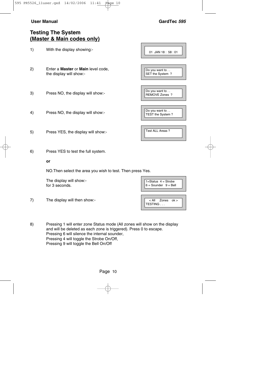and the control of the control of the control of

**Contract Contract** 

 $1=Status$  4 = Strobe  $6 =$  Sounder  $9 =$  Bell

< All Zones ok >

TESTING . . .

## **Testing The System (Master & Main codes only)**

| 1) | With the display showing:-                                                  | 01 JAN 18: 58:01                   |
|----|-----------------------------------------------------------------------------|------------------------------------|
| 2) | Enter a <b>Master</b> or <b>Main</b> level code,<br>the display will show:- | Do you want to<br>SET the System?  |
| 3) | Press NO, the display will show:-                                           | Do you want to<br>REMOVE Zones ?   |
| 4) | Press NO, the display will show:-                                           | Do you want to<br>TEST the System? |
| 5) | Press YES, the display will show:-                                          | Test ALL Areas ?                   |
| 6) | Press YES to test the full system.                                          |                                    |

#### **or**

NO.Then select the area you wish to test. Then press Yes.

The display will show: for 3 seconds.

7) The display will then show:-

| 8) | Pressing 1 will enter zone Status mode (All zones will show on the display |
|----|----------------------------------------------------------------------------|
|    | and will be deleted as each zone is triggered). Press 0 to escape.         |
|    | Pressing 6 will silence the internal sounder,                              |
|    | Pressing 4 will toggle the Strobe On/Off.                                  |
|    | Pressing 9 will toggle the Bell On/Off                                     |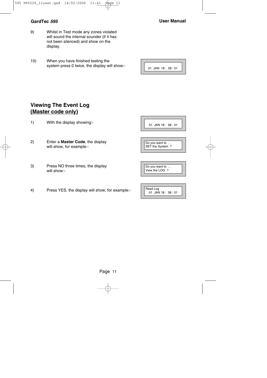- 9) Whilst in Test mode any zones violated will sound the internal sounder (if it has not been silenced) and show on the display.
- 10) When you have finished testing the system press 0 twice, the display will show:-

|  | $01$ JAN $18:58:01$ |
|--|---------------------|

## **Viewing The Event Log (Master code only)**

- 1) With the display showing:-
- 2) Enter a **Master Code**, the display will show, for example:-
- 3) Press NO three times, the display will show:-
- 4) Press YES, the display will show, for example:-

01 JAN 18 : 58 : 01

Do you want to .. SET the System ?

| Do you want to |  |
|----------------|--|
| View the LOG ? |  |
|                |  |

| Read Log         |  |
|------------------|--|
|                  |  |
| 01 JAN 18: 58:01 |  |
|                  |  |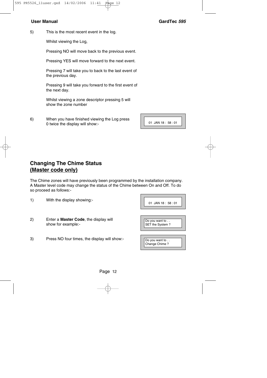5) This is the most recent event in the log.

Whilst viewing the Log,

Pressing NO will move back to the previous event.

Pressing YES will move forward to the next event.

Pressing 7 will take you to back to the last event of the previous day.

Pressing 9 will take you forward to the first event of the next day.

Whilst viewing a zone descriptor pressing 5 will show the zone number

6) When you have finished viewing the Log press 0 twice the display will show:-

01 JAN 18 : 58 : 01

## **Changing The Chime Status (Master code only)**

1) With the display showing:-

The Chime zones will have previously been programmed by the installation company. A Master level code may change the status of the Chime between On and Off. To do so proceed as follows:-

| 01 JAN 18:58:01                   |
|-----------------------------------|
| Do you want to<br>SET the System? |
| Do you want to<br>Change Chime?   |

- 2) Enter a **Master Code**, the display will show for example:-
- 3) Press NO four times, the display will show:-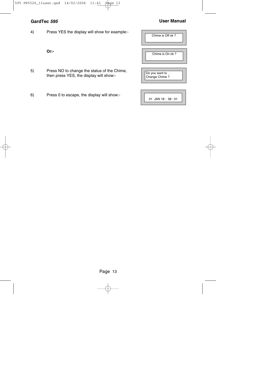### **GardTec <sup>595</sup> User Manual**

4) Press YES the display will show for example:-

**Or:-**

- 5) Press NO to change the status of the Chime, then press YES, the display will show:-
- 6) Press 0 to escape, the display will show:-

| Chime is Off ok?                |
|---------------------------------|
| Chime is On ok?                 |
| Do you want to<br>Change Chime? |
| 01 JAN 18: 58:01                |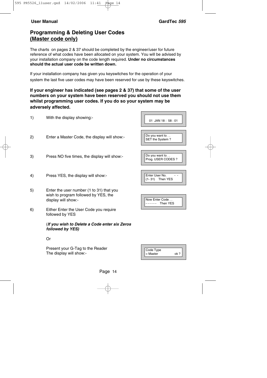## **Programming & Deleting User Codes (Master code only)**

The charts on pages 2 & 37 should be completed by the engineer/user for future reference of what codes have been allocated on your system. You will be advised by your installation company on the code length required. **Under no circumstances should the actual user code be written down.**

If your installation company has given you keyswitches for the operation of your system the last five user codes may have been reserved for use by these keyswitches.

#### **If your engineer has indicated (see pages 2 & 37) that some of the user numbers on your system have been reserved you should not use them whilst programming user codes. If you do so your system may be adversely affected.**

| 1) | With the display showing:-                                                                              | 01 JAN 18:58:01                      |
|----|---------------------------------------------------------------------------------------------------------|--------------------------------------|
| 2) | Enter a Master Code, the display will show:-                                                            | Do you want to<br>SET the System?    |
| 3) | Press NO five times, the display will show:-                                                            | Do you want to<br>Prog. USER CODES ? |
| 4) | Press YES, the display will show:-                                                                      | Enter User No.<br>$(1-31)$ Then YES  |
| 5) | Enter the user number (1 to 31) that you<br>wish to program followed by YES, the<br>display will show:- | Now Enter Code<br>Then YES           |
| 6) | Either Enter the User Code you require<br>followed by YES                                               |                                      |
|    | (If you wish to Delete a Code enter six Zeros<br>followed by YES)                                       |                                      |
|    | Or                                                                                                      |                                      |

Present your G-Tag to the Reader The display will show:-

| Code Type  |      |
|------------|------|
| $=$ Master | nk ? |
|            |      |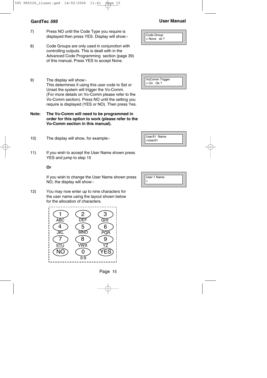- 7) Press NO until the Code Type you require is displayed then press YES. Display will show:-
- 8) Code Groups are only used in conjunction with controlling outputs. This is dealt with in the Advanced Code Programming section (page 39) of this manual, Press YES to accept None.
- 9) The display will show:- This determines if using this user code to Set or Unset the system will trigger the Vo-Comm. (For more details on Vo-Comm please refer to the Vo-Comm section). Press NO until the setting you require is displayed (YES or NO). Then press Yes.
- **Note: The Vo-Comm will need to be programmed in order for this option to work (please refer to the Vo-Comm section in this manual).**
- 10) The display will show, for example:-
- 11) If you wish to accept the User Name shown press YES and jump to step 15

#### **Or**

If you wish to change the User Name shown press NO, the display will show:-

12) You may now enter up to nine characters for the user name using the layout shown below for the allocation of characters.



Code Group  $=$  None ok ?





| User 1 Name |  |
|-------------|--|
|             |  |
|             |  |



**GardTec <sup>595</sup> User Manual**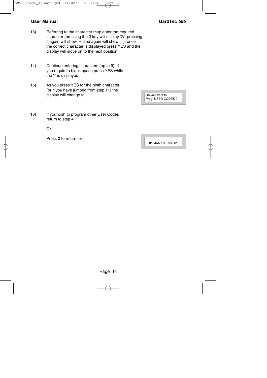- 13) Referring to the character map enter the required character (pressing the 3 key will display 'G', pressing it again will show 'H' and again will show 'I '), once the correct character is displayed press YES and the display will move on to the next position.
- 14) Continue entering characters (up to 9). If you require a blank space press YES while the '-' is displayed
- 15) As you press YES for the ninth character (or if you have jumped from step 11) the display will change to:-
- 16) If you wish to program other User Codes return to step 4

#### **Or**

Press 0 to return to:-

Do you want to . . Prog. USER CODES ?

01 JAN 18 : 58 : 01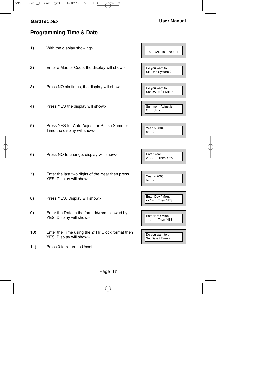## **GardTec <sup>595</sup> User Manual**

## **Programming Time & Date**

| 1)  | With the display showing:-                                                   | 01 JAN 18: 58:01                           |
|-----|------------------------------------------------------------------------------|--------------------------------------------|
| 2)  | Enter a Master Code, the display will show:-                                 | Do you want to<br>SET the System?          |
| 3)  | Press NO six times, the display will show:-                                  | Do you want to<br>Set DATE / TIME ?        |
| 4)  | Press YES the display will show:-                                            | Summer - Adjust is<br>On ok?               |
| 5)  | Press YES for Auto Adjust for British Summer<br>Time the display will show:- | Year is 2004<br>ok<br>?                    |
| 6)  | Press NO to change, display will show:-                                      | <b>Enter Year</b><br>$20 - -$<br>Then YES  |
| 7)  | Enter the last two digits of the Year then press<br>YES. Display will show:- | <b>Year is 2005</b><br>ok<br>$\cdot$ ?     |
| 8)  | Press YES. Display will show:-                                               | Enter Day / Month<br>- - / - -<br>Then YES |
| 9)  | Enter the Date in the form dd/mm followed by<br>YES. Display will show:-     | Enter Hrs: Mins<br>--:-- Then YES          |
| 10) | Enter the Time using the 24Hr Clock format then<br>YES. Display will show:-  | Do you want to<br>Set Date / Time ?        |
| 11) | Press 0 to return to Unset.                                                  |                                            |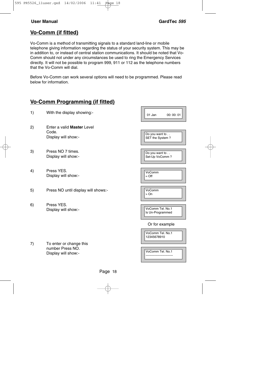## **Vo-Comm (if fitted)**

Vo-Comm is a method of transmitting signals to a standard land-line or mobile telephone giving information regarding the status of your security system. This may be in addition to, or instead of central station communications. It should be noted that Vo-Comm should not under any circumstances be used to ring the Emergency Services directly. It will not be possible to program 999, 911 or 112 as the telephone numbers that the Vo-Comm will dial.

Before Vo-Comm can work several options will need to be programmed. Please read below for information.

## **Vo-Comm Programming (if fitted)**

1) With the display showing:- 2) Enter a valid **Master** Level Code. Display will show:- 3) Press NO 7 times. Display will show:- 4) Press YES. Display will show:- 5) Press NO until display will shows:- 6) Press YES. Display will show:- Or for example 7) To enter or change this number Press NO. Display will show:- 01 Jan 00: 00: 01 Do you want to ... SET the System ? Do you want to . . Set-Up VoComm ? VoComm  $=$  Off VoComm > On VoComm Tel. No.1 Is Un-Programmed VoComm Tel. No.1 12345678910 VoComm Tel. No.1

--------------------------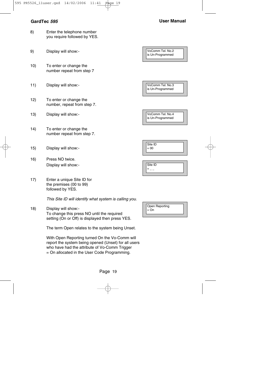#### **GardTec <sup>595</sup> User Manual**

- 8) Enter the telephone number you require followed by YES.
- 9) Display will show:-

10) To enter or change the number repeat from step 7

- 11) Display will show:-
- 12) To enter or change the number, repeat from step 7.
- 13) Display will show:-
- 14) To enter or change the number repeat from step 7.
- 15) Display will show:-
- 16) Press NO twice. Display will show:-
- 17) Enter a unique Site ID for the premises (00 to 99) followed by YES.

This Site ID will identify what system is calling you.

18) Display will show:- To change this press NO until the required setting (On or Off) is displayed then press YES.

The term Open relates to the system being Unset.

With Open Reporting turned On the Vo-Comm will report the system being opened (Unset) for all users who have had the attribute of Vo-Comm Trigger = On allocated in the User Code Programming.

| VoComm Tel. No.2<br>is Un-Programmed |
|--------------------------------------|
|                                      |
| VoComm Tel. No.3<br>is Un-Programmed |
|                                      |
| VoComm Tel. No.4<br>is Un-Programmed |
|                                      |
| Site ID<br>$= 00$                    |
| Site ID                              |
| $=$ $-$                              |

| Open Reporting<br>$=$ On |  |
|--------------------------|--|
|--------------------------|--|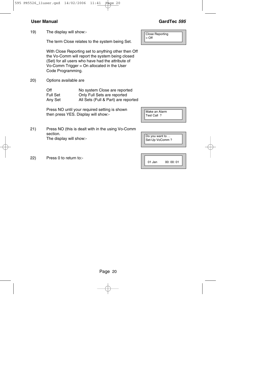19) The display will show:-

The term Close relates to the system being Set.

With Close Reporting set to anything other then Off the Vo-Comm will report the system being closed (Set) for all users who have had the attribute of Vo-Comm Trigger = On allocated in the User Code Programming.

20) Options available are

| Off      | No system Close are reported        |
|----------|-------------------------------------|
| Full Set | Only Full Sets are reported         |
| Anv Set  | All Sets (Full & Part) are reported |

Press NO until your required setting is shown then press YES. Display will show:-

- 21) Press NO (this is dealt with in the using Vo-Comm section. The display will show:-
- 22) Press 0 to return to:-

Page 20

Close Reporting = Off

Make an Alarm Test Call ?

Do you want to . . Set-Up VoComm ?

| 01 Jan | 00: 00: 01 |
|--------|------------|
|--------|------------|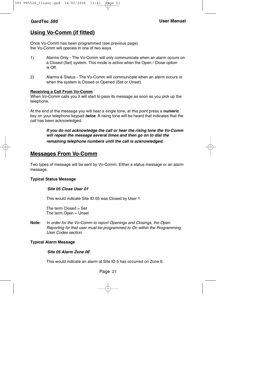## **Using Vo-Comm (if fitted)**

Once Vo-Comm has been programmed (see previous page) the Vo-Comm will operate in one of two ways.

- 1) Alarms Only The Vo-Comm will only communicate when an alarm occurs on a Closed (Set) system. This mode is active when the Open / Close option is Off.
- 2) Alarms & Status The Vo-Comm will communicate when an alarm occurs or when the system is Closed or Opened (Set or Unset).

#### **Receiving a Call From Vo-Comm**

When Vo-Comm calls you it will start to pass its message as soon as you pick up the telephone.

At the end of the message you will hear a single tone, at this point press a **numeric** key on your telephone keypad **twice**. A rising tone will be heard that indicates that the call has been acknowledged.

#### **If you do not acknowledge the call or hear the rising tone the Vo-Comm will repeat the message several times and then go on to dial the remaining telephone numbers until the call is acknowledged.**

### **Messages From Vo-Comm**

Two types of message will be sent by Vo-Comm. Either a status message or an alarm message.

#### **Typical Status Message**

#### '**Site 05 Close User 01**'

This would indicate Site ID 05 was Closed by User 1

The term  $Closed = Set$ The term Open = Unset

**Note:** In order for the Vo-Comm to report Openings and Closings, the Open Reporting for that user must be programmed to On within the Programming User Codes section.

#### **Typical Alarm Message**

#### '**Site 05 Alarm Zone 06**'

This would indicate an alarm at Site ID 5 has occurred on Zone 6.

#### Page 21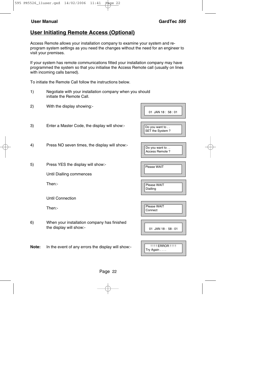### **User Initiating Remote Access (Optional)**

Access Remote allows your installation company to examine your system and reprogram system settings as you need the changes without the need for an engineer to visit your premises.

If your system has remote communications fitted your installation company may have programmed the system so that you initialise the Access Remote call (usually on lines with incoming calls barred).

To initiate the Remote Call follow the instructions below.

- 1) Negotiate with your installation company when you should initiate the Remote Call.
- 2) With the display showing:-
- 3) Enter a Master Code, the display will show:-
- 4) Press NO seven times, the display will show:-
- 5) Press YES the display will show:-

Until Dialling commences

Then:-

Until Connection

Then:-

6) When your installation company has finished the display will show:-

**Note:** In the event of any errors the display will show:-

| 01 JAN 18: 58:01                  |
|-----------------------------------|
| Do you want to<br>SET the System? |
| Do you want to<br>Access Remote ? |
| Please WAIT                       |
| Please WAIT<br>Dialling           |
| Please WAIT<br>Connect            |
| 01 JAN 18: 58:01                  |

| <b>!!!! ERROR !!!!!</b>                |
|----------------------------------------|
| $\mathsf{T}\mathsf{r}\mathsf{y}$ Again |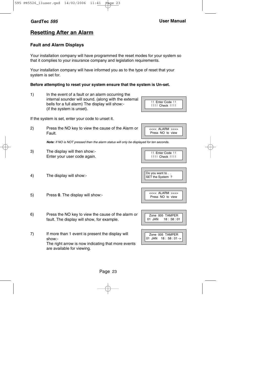## **Resetting After an Alarm**

### **Fault and Alarm Displays**

Your installation company will have programmed the reset modes for your system so that it complies to your insurance company and legislation requirements.

Your installation company will have informed you as to the type of reset that your system is set for.

#### **Before attempting to reset your system ensure that the system is Un-set.**

1) In the event of a fault or an alarm occurring the internal sounder will sound. (along with the external bells for a full alarm) The display will show:- (if the system is unset).

If the system is set, enter your code to unset it.

2) Press the NO key to view the cause of the Alarm or Fault.

**Note:** If NO is NOT pressed then the alarm status will only be displayed for ten seconds.

- 3) The display will then show:- Enter your user code again.
- 4) The display will show:-

5) Press **0**. The display will show:-

- 6) Press the NO key to view the cause of the alarm or fault. The display will show, for example.
- 7) If more than 1 event is present the display will show:- The right arrow is now indicating that more events are available for viewing.

<<<< ALARM >>>> Press NO to view

**II Enter Code II** !!!! Check !!!!





|  |      |  | Zone 005 TAMPER          |
|--|------|--|--------------------------|
|  | .IAN |  | $18 \cdot 58 \cdot 01 -$ |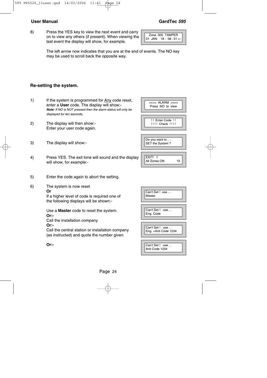8) Press the YES key to view the next event and carry on to view any others (if present). When viewing the last event the display will show, for example.



The left arrow now indicates that you are at the end of events. The NO key may be used to scroll back the opposite way.

#### **Re-setting the system.**

- 1) If the system is programmed for Any code reset, enter a **User** code. The display will show:- **Note:** If NO is NOT pressed then the alarm status will only be displayed for ten seconds.
- 2) The display will then show:- Enter your user code again.
- 3) The display will show:-
- 4) Press YES. The exit tone will sound and the display will show, for example:-
- 5) Enter the code again to abort the setting.
- 6) The system is now reset **Or**

If a higher level of code is required one of the following displays will be shown:-

Use a **Master** code to reset the system. **Or:-** Call the installation company

#### **Or:-**

Call the central station or installation company (as instructed) and quote the number given

**Or:-**

| Press NO to view                    |
|-------------------------------------|
| !! Enter Code !!<br>!!!! Check !!!! |
| Do you want to<br>SET the System?   |
| EXIT! 1<br>All Zones ON<br>15       |

<<<< ALARM >>>>

| Can't Set! use<br>Master               |
|----------------------------------------|
| Can't Set! use<br>Eng. Code            |
| Can't Set! use<br>Eng. +Anti Code 1234 |
| Can't Set! use<br>Anti Code 1234       |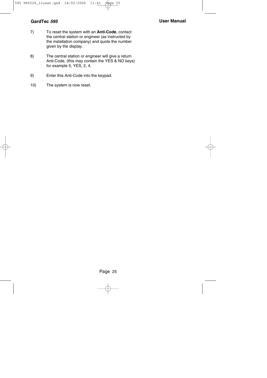- 7) To reset the system with an **Anti-Code**, contact the central station or engineer (as instructed by the installation company) and quote the number given by the display.
- 8) The central station or engineer will give a return Anti-Code, (this may contain the YES & NO keys) for example 5, YES, 2, 4.
- 9) Enter this Anti-Code into the keypad.
- 10) The system is now reset.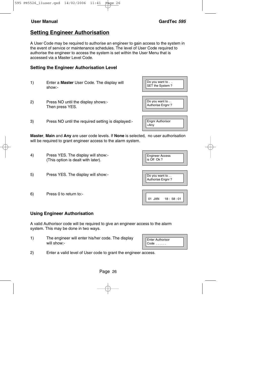## **Setting Engineer Authorisation**

A User Code may be required to authorise an engineer to gain access to the system in the event of service or maintenance schedules. The level of User Code required to authorise the engineer to access the system is set within the User Menu that is accessed via a Master Level Code.

### **Setting the Engineer Authorisation Level**

- 1) Enter a **Master** User Code. The display will show:-
- 2) Press NO until the display shows:- Then press YES.
- 3) Press NO until the required setting is displayed:-

**Master**, **Main** and **Any** are user code levels. If **None** is selected, no user authorisation will be required to grant engineer access to the alarm system.

- 4) Press YES. The display will show:- (This option is dealt with later).
- 5) Press YES. The display will show:-
- 6) Press 0 to return to:-

### **Using Engineer Authorisation**

A valid Authorisor code will be required to give an engineer access to the alarm system. This may be done in two ways.

- 1) The engineer will enter his/her code. The display will show:-
- 2) Enter a valid level of User code to grant the engineer access.



| <b>Engineer Access</b><br>is Off Ok? |
|--------------------------------------|
| Do you want to<br>Authorise Engnr?   |

 $01$  JAN  $18 \cdot 58 \cdot 01$ 



**Engnr Authorisor** 

 $=$ Any

Do you want to . . SET the System ?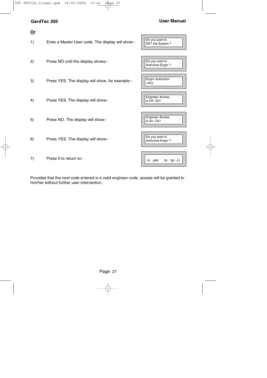**Or**

### **GardTec <sup>595</sup> User Manual**

| ∸∸ |                                                   |                                      |
|----|---------------------------------------------------|--------------------------------------|
| 1) | Enter a Master User code. The display will show:- | Do you want to<br>SET the System?    |
| 2) | Press NO until the display shows:-                | Do you want to                       |
|    |                                                   | Authorise Engnr?                     |
| 3) | Press YES. The display will show, for example:-   | <b>Engnr Authorisor</b><br>$=$ Any   |
|    |                                                   |                                      |
| 4) | Press YES. The display will show:-                | <b>Engineer Access</b><br>is Off Ok? |
|    |                                                   |                                      |
| 5) | Press NO. The display will show:-                 | <b>Engineer Access</b><br>is On Ok?  |
|    |                                                   |                                      |
| 6) | Press YES. The display will show:-                | Do you want to<br>Authorise Engnr?   |
|    |                                                   |                                      |
| 7) | Press 0 to return to:-                            | 01 JAN<br>18:58:01                   |

Provided that the next code entered is a valid engineer code, access will be granted to him/her without further user intervention.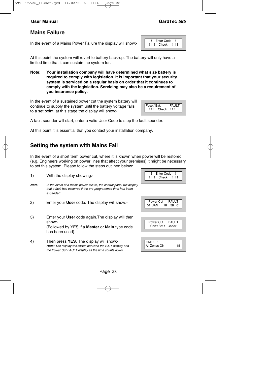## **Mains Failure**

In the event of a Mains Power Failure the display will show:-

At this point the system will revert to battery back-up. The battery will only have a limited time that it can sustain the system for.

**Note: Your installation company will have determined what size battery is required to comply with legislation. It is important that your security system is serviced on a regular basis on order that it continues to comply with the legislation. Servicing may also be a requirement of you insurance policy.**

In the event of a sustained power cut the system battery will continue to supply the system until the battery voltage falls to a set point, at this stage the display will show:-

A fault sounder will start, enter a valid User Code to stop the fault sounder.

At this point it is essential that you contact your installation company.

## **Setting the system with Mains Fail**

In the event of a short term power cut, where it is known when power will be restored, (e.g. Engineers working on power lines that affect your premises) it might be necessary to set this system. Please follow the steps outlined below:

- 1) With the display showing:- **Note:** In the event of a mains power failure, the control panel will display that a fault has occurred if the pre-programmed time has been exceeded. 2) Enter your **User** code. The display will show:- 3) Enter your **User** code again.The display will then show:- (Followed by YES if a **Master** or **Main** type code has been used).
- 4) Then press **YES**. The display will show:- **Note:** The display will switch between the EXIT display and the Power Cut FAULT display as the time counts down.

| Enter Code |  |
|------------|--|
| Check      |  |

| Enter Code     |  |
|----------------|--|
| !!!! Check !!! |  |
|                |  |



Power Cut FAULT<br>Can't Set L. Check Can't Set I

| I EXIT!      |    |
|--------------|----|
| All Zones ON | 15 |

## Fuse / Bat. FAULT !!!! Check !!!!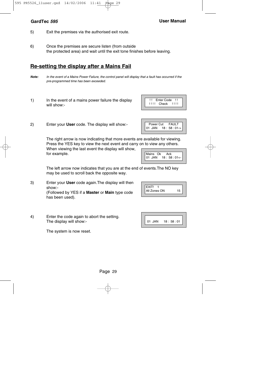- 5) Exit the premises via the authorised exit route.
- 6) Once the premises are secure listen (from outside the protected area) and wait until the exit tone finishes before leaving.

## **Re-setting the display after a Mains Fail**

- **Note:** In the event of a Mains Power Failure, the control panel will display that a fault has occurred if the pre-programmed time has been exceeded.
- 1) In the event of a mains power failure the display will show:-
- 2) Enter your **User** code. The display will show:-

The right arrow is now indicating that more events are available for viewing. Press the YES key to view the next event and carry on to view any others.

When viewing the last event the display will show, for example.

The left arrow now indicates that you are at the end of events.The NO key may be used to scroll back the opposite way.

- 3) Enter your **User** code again.The display will then show:- (Followed by YES if a **Master** or **Main** type code has been used).
- 4) Enter the code again to abort the setting. The display will show:-

The system is now reset.





All Zones ON 15

EXIT! 1



Power Cut FAULT 01 JAN 18:58:01->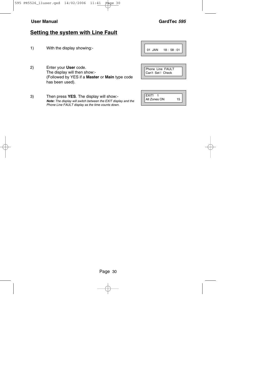## **Setting the system with Line Fault**

1) With the display showing:-

2) Enter your **User** code. The display will then show:- (Followed by YES if a **Master** or **Main** type code has been used).

3) Then press **YES**. The display will show:- **Note:** The display will switch between the EXIT display and the Phone Line FAULT display as the time counts down.

| JAN<br>18:58:01<br>01 |
|-----------------------|
|-----------------------|

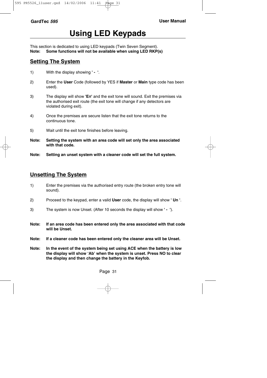# **Using LED Keypads**

This section is dedicated to using LED keypads (Twin Seven Segment). **Note: Some functions will not be available when using LED RKP(s)**

## **Setting The System**

- 1) With the display showing **' '**.
- 2) Enter the **User** Code (followed by YES if **Master** or **Main** type code has been used).
- 3) The display will show **'E='** and the exit tone will sound. Exit the premises via the authorised exit route (the exit tone will change if any detectors are violated during exit).
- 4) Once the premises are secure listen that the exit tone returns to the continuous tone.
- 5) Wait until the exit tone finishes before leaving.
- **Note: Setting the system with an area code will set only the area associated with that code.**
- **Note: Setting an unset system with a cleaner code will set the full system.**

## **Unsetting The System**

- 1) Enter the premises via the authorised entry route (the broken entry tone will sound).
- 2) Proceed to the keypad, enter a valid **User** code, the display will show **' Un '**.
- 3) The system is now Unset. (After 10 seconds the display will show **' '**).
- **Note: If an area code has been entered only the area associated with that code will be Unset.**
- **Note: If a cleaner code has been entered only the cleaner area will be Unset.**
- **Note: In the event of the system being set using ACE when the battery is low the display will show 'Ab' when the system is unset. Press NO to clear the display and then change the battery in the Keyfob.**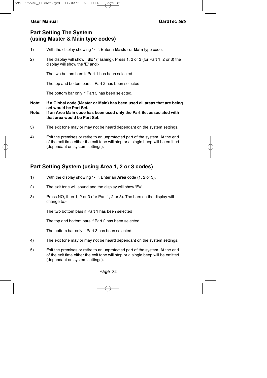## **Part Setting The System (using Master & Main type codes)**

- 1) With the display showing **' '**. Enter a **Master** or **Main** type code.
- 2) The display will show **' SE '** (flashing). Press 1, 2 or 3 (for Part 1, 2 or 3) the display will show the **'E'** and:-

The two bottom bars if Part 1 has been selected

The top and bottom bars if Part 2 has been selected

The bottom bar only if Part 3 has been selected.

- **Note: If a Global code (Master or Main) has been used all areas that are being set would be Part Set.**
- **Note: If an Area Main code has been used only the Part Set associated with that area would be Part Set.**
- 3) The exit tone may or may not be heard dependant on the system settings.
- 4) Exit the premises or retire to an unprotected part of the system. At the end of the exit time either the exit tone will stop or a single beep will be emitted (dependant on system settings).

## **Part Setting System (using Area 1, 2 or 3 codes)**

- 1) With the display showing **' '**. Enter an **Area** code (1, 2 or 3).
- 2) The exit tone will sound and the display will show **'E='**
- 3) Press NO, then 1, 2 or 3 (for Part 1, 2 or 3). The bars on the display will change to:-

The two bottom bars if Part 1 has been selected

The top and bottom bars if Part 2 has been selected

The bottom bar only if Part 3 has been selected.

- 4) The exit tone may or may not be heard dependant on the system settings.
- 5) Exit the premises or retire to an unprotected part of the system. At the end of the exit time either the exit tone will stop or a single beep will be emitted (dependant on system settings).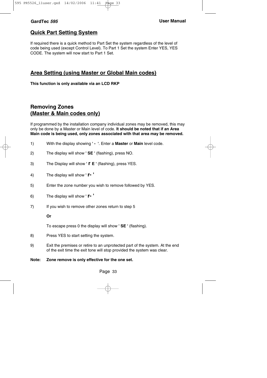## **Quick Part Setting System**

If required there is a quick method to Part Set the system regardless of the level of code being used (except Control Level). To Part 1 Set the system Enter YES, YES CODE. The system will now start to Part 1 Set.

## **Area Setting (using Master or Global Main codes)**

**This function is only available via an LCD RKP**

## **Removing Zones (Master & Main codes only)**

If programmed by the installation company individual zones may be removed, this may only be done by a Master or Main level of code. **It should be noted that if an Area Main code is being used, only zones associated with that area may be removed.**

- 1) With the display showing **' '**. Enter a **Master** or **Main** level code.
- 2) The display will show **' SE '** (flashing), press NO.
- 3) The Display will show **' r E '** (flashing), press YES.
- 4) The display will show **' r- '**
- 5) Enter the zone number you wish to remove followed by YES.
- 6) The display will show **' r- '**
- 7) If you wish to remove other zones return to step 5

#### **Or**

To escape press 0 the display will show **' SE '** (flashing).

- 8) Press YES to start setting the system.
- 9) Exit the premises or retire to an unprotected part of the system. At the end of the exit time the exit tone will stop provided the system was clear.

#### **Note: Zone remove is only effective for the one set.**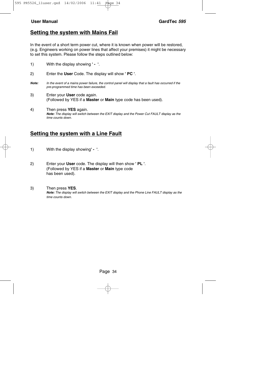### **Setting the system with Mains Fail**

In the event of a short term power cut, where it is known when power will be restored, (e.g. Engineers working on power lines that affect your premises) it might be necessary to set this system. Please follow the steps outlined below:

| 1)    | With the display showing ' - '.                                                                                                                  |
|-------|--------------------------------------------------------------------------------------------------------------------------------------------------|
| 2)    | Enter the User Code. The display will show ' PC '.                                                                                               |
| Note: | In the event of a mains power failure, the control panel will display that a fault has occurred if the<br>pre-programmed time has been exceeded. |
| 3)    | Enter your User code again.<br>(Followed by YES if a Master or Main type code has been used).                                                    |
| 4)    | Then press YES again.                                                                                                                            |

**Note:** The display will switch between the EXIT display and the Power Cut FAULT display as the time counts down.

### **Setting the system with a Line Fault**

- 1) With the display showing**' '**.
- 2) Enter your **User** code. The display will then show **' PL '**. (Followed by YES if a **Master** or **Main** type code has been used).
- 3) Then press **YES**. **Note:** The display will switch between the EXIT display and the Phone Line FAULT display as the time counts down.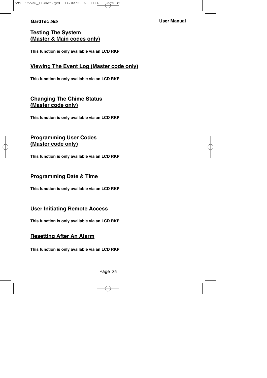**GardTec <sup>595</sup> User Manual**

## **Testing The System (Master & Main codes only)**

**This function is only available via an LCD RKP**

### **Viewing The Event Log (Master code only)**

**This function is only available via an LCD RKP**

## **Changing The Chime Status (Master code only)**

**This function is only available via an LCD RKP**

## **Programming User Codes (Master code only)**

**This function is only available via an LCD RKP**

## **Programming Date & Time**

**This function is only available via an LCD RKP**

## **User Initiating Remote Access**

**This function is only available via an LCD RKP**

### **Resetting After An Alarm**

**This function is only available via an LCD RKP**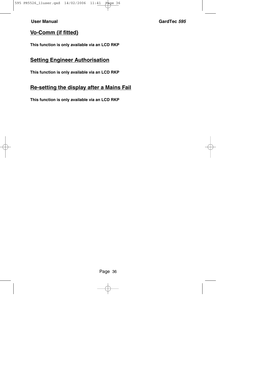## **Vo-Comm (if fitted)**

**This function is only available via an LCD RKP**

## **Setting Engineer Authorisation**

**This function is only available via an LCD RKP**

### **Re-setting the display after a Mains Fail**

**This function is only available via an LCD RKP**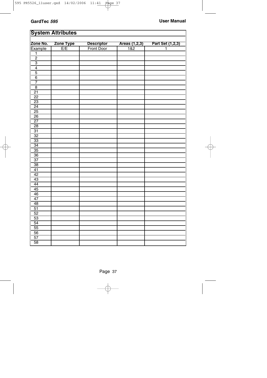# **System Attributes**

|                     | <b>Zone Type</b> | <b>Descriptor</b> | Areas (1,2,3) | Part Set (1,2,3) |
|---------------------|------------------|-------------------|---------------|------------------|
| Zone No.<br>Example | E/E              | <b>Front Door</b> | 182           | 1                |
| $\overline{1}$      |                  |                   |               |                  |
| $\overline{2}$      |                  |                   |               |                  |
| $\overline{3}$      |                  |                   |               |                  |
| $\overline{4}$      |                  |                   |               |                  |
| $\overline{5}$      |                  |                   |               |                  |
| $\overline{6}$      |                  |                   |               |                  |
| $\overline{7}$      |                  |                   |               |                  |
| $\overline{8}$      |                  |                   |               |                  |
| $\overline{21}$     |                  |                   |               |                  |
| $\overline{22}$     |                  |                   |               |                  |
| $\overline{23}$     |                  |                   |               |                  |
| $\overline{24}$     |                  |                   |               |                  |
| $\overline{25}$     |                  |                   |               |                  |
| $\overline{26}$     |                  |                   |               |                  |
| $\overline{27}$     |                  |                   |               |                  |
| $\overline{28}$     |                  |                   |               |                  |
| $\overline{31}$     |                  |                   |               |                  |
| $\overline{32}$     |                  |                   |               |                  |
| $\overline{33}$     |                  |                   |               |                  |
| $\overline{34}$     |                  |                   |               |                  |
| $\overline{35}$     |                  |                   |               |                  |
| $\overline{36}$     |                  |                   |               |                  |
| $\overline{37}$     |                  |                   |               |                  |
| $\overline{38}$     |                  |                   |               |                  |
| 41                  |                  |                   |               |                  |
| $\overline{42}$     |                  |                   |               |                  |
| 43                  |                  |                   |               |                  |
| $\overline{44}$     |                  |                   |               |                  |
| $\overline{45}$     |                  |                   |               |                  |
| $\overline{46}$     |                  |                   |               |                  |
| 47                  |                  |                   |               |                  |
| 48                  |                  |                   |               |                  |
| $\overline{51}$     |                  |                   |               |                  |
| $\overline{52}$     |                  |                   |               |                  |
| $\overline{53}$     |                  |                   |               |                  |
| $\overline{54}$     |                  |                   |               |                  |
| $\overline{55}$     |                  |                   |               |                  |
| 56                  |                  |                   |               |                  |
| $\overline{57}$     |                  |                   |               |                  |
| $\overline{58}$     |                  |                   |               |                  |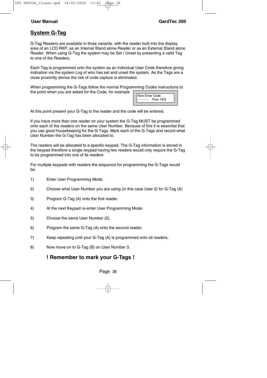## **System G-Tag**

G-Tag Readers are available in three variants, with the reader built into the display area of an LCD RKP, as an Internal Stand alone Reader or as an External Stand alone Reader. When using G-Tag the system may be Set / Unset by presenting a valid Tag to one of the Readers.

Each Tag is programmed onto the system as an individual User Code therefore giving indication via the system Log of who has set and unset the system. As the Tags are a close proximity device the risk of code capture is eliminated.

When programming the G-Tags follow the normal Programming Codes instructions to the point when you are asked for the Code, for example

Now Enter Code . . - - - - Then YES

At this point present your G-Tag to the reader and the code will be entered.

If you have more than one reader on your system the G-Tag MUST be programmed onto each of the readers on the same User Number. Because of this it is essential that you use good housekeeping for the G-Tags. Mark each of the G-Tags and record what User Number the G-Tag has been allocated to.

The readers will be allocated to a specific keypad. The G-Tag information is stored in the keypad therefore a single keypad having two readers would only require the G-Tag to be programmed into one of its readers

For multiple keypads with readers the sequence for programming the G-Tags would be.

- 1) Enter User Programming Mode.
- 2) Choose what User Number you are using (in this case User 2) for G-Tag (A)
- 3) Program G-Tag (A) onto the first reader.
- 4) At the next Keypad re-enter User Programming Mode.
- 5) Choose the same User Number (2).
- 6) Program the same G-Tag (A) onto the second reader.
- 7) Keep repeating until your G-Tag (A) is programmed onto all readers.
- 8) Now move on to G-Tag (B) on User Number 3.

### **! Remember to mark your G-Tags !**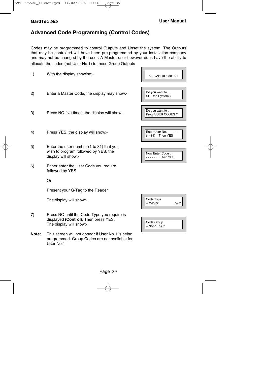$\overline{\phantom{0}}$ 

**Contract Contract Contract Contract** 

## **Advanced Code Programming (Control Codes)**

Codes may be programmed to control Outputs and Unset the system. The Outputs that may be controlled will have been pre-programmed by your installation company and may not be changed by the user. A Master user however does have the ability to allocate the codes (not User No.1) to these Group Outputs

| 1)    | With the display showing:-                                                                                      | 01 JAN 18: 58:01                     |
|-------|-----------------------------------------------------------------------------------------------------------------|--------------------------------------|
| 2)    | Enter a Master Code, the display may show:-                                                                     | Do you want to<br>SET the System?    |
| 3)    | Press NO five times, the display will show:-                                                                    | Do you want to<br>Prog. USER CODES ? |
| 4)    | Press YES, the display will show:-                                                                              | Enter User No.<br>(1-31) Then YES    |
| 5)    | Enter the user number (1 to 31) that you<br>wish to program followed by YES, the<br>display will show:-         | Now Enter Code<br>Then YES<br>.      |
| 6)    | Either enter the User Code you require<br>followed by YES                                                       |                                      |
|       | Or                                                                                                              |                                      |
|       | Present your G-Tag to the Reader                                                                                |                                      |
|       | The display will show:-                                                                                         | Code Type<br>$=$ Master<br>ok?       |
| 7)    | Press NO until the Code Type you require is<br>displayed (Control). Then press YES.<br>The display will show:-  | Code Group<br>$=$ None ok ?          |
| Note: | This screen will not appear if User No.1 is being<br>programmed. Group Codes are not available for<br>User No.1 |                                      |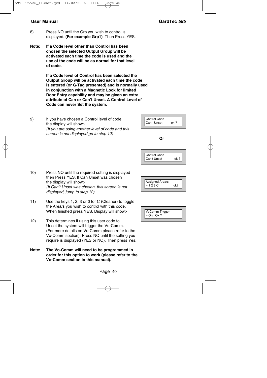- 8) Press NO until the Grp you wish to control is displayed. **(For example Grp1)**. Then Press YES.
- **Note: If a Code level other than Control has been chosen the selected Output Group will be activated each time the code is used and the use of the code will be as normal for that level of code.**

**If a Code level of Control has been selected the Output Group will be activated each time the code is entered (or G-Tag presented) and is normally used in conjunction with a Magnetic Lock for limited Door Entry capability and may be given an extra attribute of Can or Can't Unset. A Control Level of Code can never Set the system.**

9) If you have chosen a Control level of code the display will show:- (If you are using another level of code and this screen is not displayed go to step 12)

- 10) Press NO until the required setting is displayed then Press YES. If Can Unset was chosen the display will show:- (If Can't Unset was chosen, this screen is not displayed, jump to step 12)
- 11) Use the keys 1, 2, 3 or 0 for C (Cleaner) to toggle the Area/s you wish to control with this code. When finished press YES. Display will show:-
- 12) This determines if using this user code to Unset the system will trigger the Vo-Comm. (For more details on Vo-Comm please refer to the Vo-Comm section). Press NO until the setting you require is displayed (YES or NO). Then press Yes.
- **Note: The Vo-Comm will need to be programmed in order for this option to work (please refer to the Vo-Comm section in this manual).**

Page 40

**Or**

Control Code Can Unset ok ?

Control Code Can't Unset ok?

| Assigned Area/s |  |
|-----------------|--|
| $= 123C$        |  |
|                 |  |

| VoComm Trigger<br>$=$ On Ok ? |
|-------------------------------|
|-------------------------------|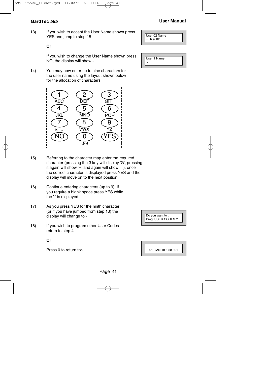#### **GardTec <sup>595</sup> User Manual**

13) If you wish to accept the User Name shown press YES and jump to step 18

#### **Or**

If you wish to change the User Name shown press NO, the display will show:-

14) You may now enter up to nine characters for the user name using the layout shown below for the allocation of characters.



- 15) Referring to the character map enter the required character (pressing the 3 key will display 'G', pressing it again will show 'H' and again will show 'I '), once the correct character is displayed press YES and the display will move on to the next position.
- 16) Continue entering characters (up to 9). If you require a blank space press YES while the '-' is displayed
- 17) As you press YES for the ninth character (or if you have jumped from step 13) the display will change to:-
- 18) If you wish to program other User Codes return to step 4

**Or**

Press 0 to return to:-

| User 1 Name |  |
|-------------|--|

User 02 Name = User 02

>

| Do you want to<br>Prog. USER CODES ? |  |
|--------------------------------------|--|
|                                      |  |

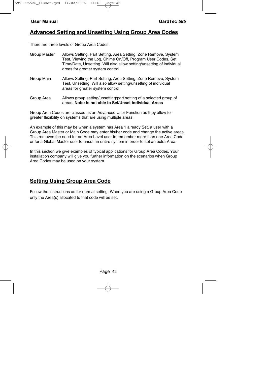### **Advanced Setting and Unsetting Using Group Area Codes**

There are three levels of Group Area Codes.

Group Master Allows Setting, Part Setting, Area Setting, Zone Remove, System Test, Viewing the Log, Chime On/Off, Program User Codes, Set Time/Date, Unsetting. Will also allow setting/unsetting of individual areas for greater system control Group Main Allows Setting, Part Setting, Area Setting, Zone Remove, System Test, Unsetting. Will also allow setting/unsetting of individual areas for greater system control Group Area Allows group setting/unsetting/part setting of a selected group of areas. **Note: Is not able to Set/Unset individual Areas**

Group Area Codes are classed as an Advanced User Function as they allow for greater flexibility on systems that are using multiple areas.

An example of this may be when a system has Area 1 already Set, a user with a Group Area Master or Main Code may enter his/her code and change the active areas. This removes the need for an Area Level user to remember more than one Area Code or for a Global Master user to unset an entire system in order to set an extra Area.

In this section we give examples of typical applications for Group Area Codes. Your installation company will give you further information on the scenarios when Group Area Codes may be used on your system.

## **Setting Using Group Area Code**

Follow the instructions as for normal setting. When you are using a Group Area Code only the Area(s) allocated to that code will be set.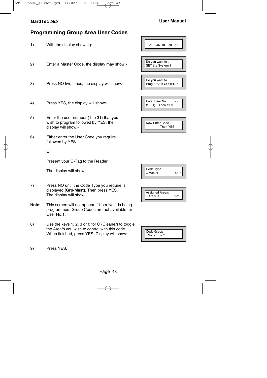#### **GardTec <sup>595</sup> User Manual**

## **Programming Group Area User Codes**

- 1) With the display showing:-
- 2) Enter a Master Code, the display may show:-
- 3) Press NO five times, the display will show:-
- 4) Press YES, the display will show:-
- 5) Enter the user number (1 to 31) that you wish to program followed by YES, the display will show:-
- 6) Either enter the User Code you require followed by YES

Or

Present your G-Tag to the Reader

The display will show:-

- 7) Press NO until the Code Type you require is displayed **(Grp-Mast)**. Then press YES. The display will show:-
- **Note:** This screen will not appear if User No.1 is being programmed. Group Codes are not available for User No.1.
- 8) Use the keys 1, 2, 3 or 0 for C (Cleaner) to toggle the Area/s you wish to control with this code. When finished, press YES. Display will show:-

| 01 JAN 18:58:01                      |
|--------------------------------------|
| Do you want to<br>SET the System?    |
| Do you want to<br>Prog. USER CODES ? |
| Enter User No.<br>(1-31) Then YES    |
| Now Enter Code                       |

- - - - Then YES

| Code Type<br>$=$ Master | ok? |
|-------------------------|-----|
|                         |     |



| Code Group   |  |
|--------------|--|
| $=$ None ok? |  |
|              |  |

| 9) | Press YES. |
|----|------------|
|----|------------|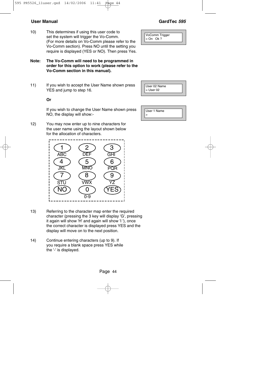10) This determines if using this user code to set the system will trigger the Vo-Comm. (For more details on Vo-Comm please refer to the Vo-Comm section). Press NO until the setting you require is displayed (YES or NO). Then press Yes.

#### **Note: The Vo-Comm will need to be programmed in order for this option to work (please refer to the Vo-Comm section in this manual).**

11) If you wish to accept the User Name shown press YES and jump to step 16.

#### **Or**

If you wish to change the User Name shown press NO, the display will show:-

- 12) You may now enter up to nine characters for the user name using the layout shown below for the allocation of characters.
	- 1)(2)(3 4 ) ( 5 ) ( 6 7) (8) (9 NO)(0 )(YES ABC DEF GHI JKL MNO PQR STU VWX 0-9
- 13) Referring to the character map enter the required character (pressing the 3 key will display 'G', pressing it again will show 'H' and again will show 'I '), once the correct character is displayed press YES and the display will move on to the next position.
- 14) Continue entering characters (up to 9). If you require a blank space press YES while the '-' is displayed.

VoComm Trigger  $=$  On Ok ?



| User 1 Name |  |
|-------------|--|
|             |  |

## **User Manual GardTec 595**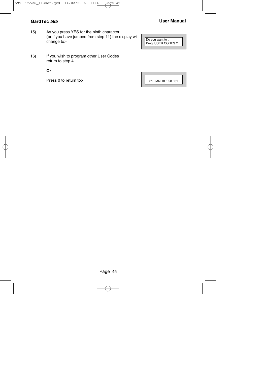15) As you press YES for the ninth character (or if you have jumped from step 11) the display will change to:-

Do you want to . . Prog. USER CODES ?

16) If you wish to program other User Codes return to step 4.

**Or**

Press 0 to return to:-

01 JAN 18 : 58 : 01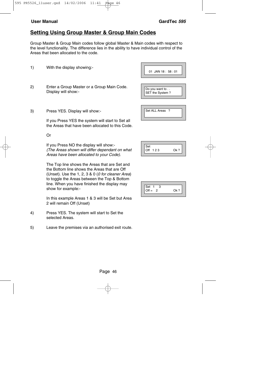## **Setting Using Group Master & Group Main Codes**

Group Master & Group Main codes follow global Master & Main codes with respect to the level functionality. The difference lies in the ability to have individual control of the Areas that been allocated to the code.

- 2) Enter a Group Master or a Group Main Code.
- 3) Press YES. Display will show:-

1) With the display showing:-

Display will show:-

If you Press YES the system will start to Set all the Areas that have been allocated to this Code.

Or

If you Press NO the display will show:- (The Areas shown will differ dependant on what Areas have been allocated to your Code).

The Top line shows the Areas that are Set and the Bottom line shows the Areas that are Off (Unset). Use the 1, 2, 3 & 0 (0 for cleaner Area) to toggle the Areas between the Top & Bottom line. When you have finished the display may show for example:-

In this example Areas 1 & 3 will be Set but Area 2 will remain Off (Unset)

- 4) Press YES. The system will start to Set the selected Areas.
- 5) Leave the premises via an authorised exit route.

| $01$ JAN 18 : 58 : 01             |
|-----------------------------------|
| Do you want to<br>SET the System? |
|                                   |

| Set ALL Areas |  |
|---------------|--|
|---------------|--|

| Set         |               |
|-------------|---------------|
| 123<br>( )1 | $\bigcap k$ ? |
|             |               |

| Set<br>з      |        |
|---------------|--------|
| $Off =$<br>-2 | $Qk$ ? |
|               |        |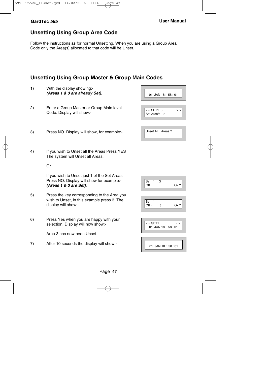## **Unsetting Using Group Area Code**

Follow the instructions as for normal Unsetting. When you are using a Group Area Code only the Area(s) allocated to that code will be Unset.

## **Unsetting Using Group Master & Group Main Codes**

- 1) With the display showing:- **(Areas 1 & 3 are already Set)**.
- 2) Enter a Group Master or Group Main level Code. Display will show:-
- 3) Press NO. Display will show, for example:-
- 4) If you wish to Unset all the Areas Press YES The system will Unset all Areas.

Or

If you wish to Unset just 1 of the Set Areas Press NO. Display will show for example:- **(Areas 1 & 3 are Set)**.

- 5) Press the key corresponding to the Area you wish to Unset, in this example press 3. The display will show:-
- 6) Press Yes when you are happy with your selection. Display will now show:-

Area 3 has now been Unset.

7) After 10 seconds the display will show:-

| 01 JAN 18: 58:01                 |
|----------------------------------|
| $<<$ SET1 3<br>><br>Set Area/s ? |
|                                  |
| Unset ALL Areas?                 |

Set  $1 \overline{3}$ <br>Off Ok ?

| $\sim$<br>еt |  |
|--------------|--|
| ╮            |  |
|              |  |



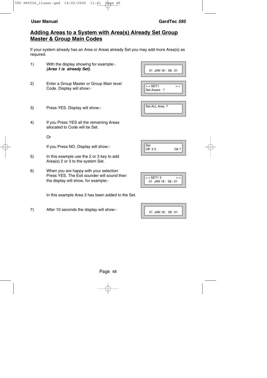## **Adding Areas to a System with Area(s) Already Set Group Master & Group Main Codes**

If your system already has an Area or Areas already Set you may add more Area(s) as required.

- 1) With the display showing for example:- **(Area 1 is already Set)**.
- 2) Enter a Group Master or Group Main level Code. Display will show:-
- 3) Press YES. Display will show:-
- 4) If you Press YES all the remaining Areas allocated to Code will be Set.

Or

If you Press NO. Display will show:-

- 5) In this example use the 2 or 3 key to add Area(s) 2 or 3 to the system Set.
- 6) When you are happy with your selection Press YES. The Exit sounder will sound then the display will show, for example:-

In this example Area 3 has been added to the Set.

7) After 10 seconds the display will show:-

|            | 01 JAN 18: 58:01 |
|------------|------------------|
| $<$ SET1   | >                |
| Set Area/s | ?                |

| Set ALL Area? |  |
|---------------|--|
|               |  |

| $<<$ SET1 3 |                       |  |
|-------------|-----------------------|--|
|             | $01$ JAN 18 : 58 : 01 |  |
|             |                       |  |

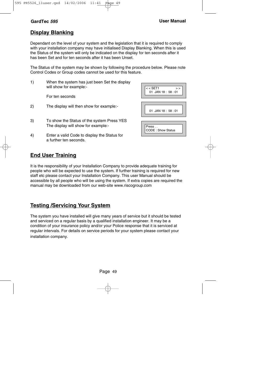## **Display Blanking**

Dependant on the level of your system and the legislation that it is required to comply with your installation company may have initialised Display Blanking. When this is used the Status of the system will only be indicated on the display for ten seconds after it has been Set and for ten seconds after it has been Unset.

The Status of the system may be shown by following the procedure below. Please note Control Codes or Group codes cannot be used for this feature.

1) When the system has just been Set the display will show for example:-

For ten seconds

- 2) The display will then show for example:-
- 3) To show the Status of the system Press YES The display will show for example:-
- 4) Enter a valid Code to display the Status for a further ten seconds.

| $<$ SET1<br>><br>$01$ JAN 18: 58:01 |
|-------------------------------------|
| 01 JAN 18: 58:01                    |
| Press<br><b>CODE: Show Status</b>   |

## **End User Training**

It is the responsibility of your Installation Company to provide adequate training for people who will be expected to use the system. If further training is required for new staff etc please contact your Installation Company. This user Manual should be accessible by all people who will be using the system. If extra copies are required the manual may be downloaded from our web-site www.riscogroup.com

## **Testing /Servicing Your System**

The system you have installed will give many years of service but it should be tested and serviced on a regular basis by a qualified installation engineer. It may be a condition of your insurance policy and/or your Police response that it is serviced at regular intervals. For details on service periods for your system please contact your installation company.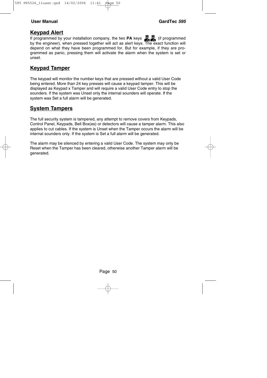### **Keypad Alert**

If programmed by your installation company, the two **PA** keys **CO** (if programmed by the engineer), when pressed together will act as alert keys. The exact function will depend on what they have been programmed for. But for example, if they are programmed as panic, pressing them will activate the alarm when the system is set or unset.

## **Keypad Tamper**

The keypad will monitor the number keys that are pressed without a valid User Code being entered. More than 24 key presses will cause a keypad tamper. This will be displayed as Keypad x Tamper and will require a valid User Code entry to stop the sounders. If the system was Unset only the internal sounders will operate. If the system was Set a full alarm will be generated.

### **System Tampers**

The full security system is tampered, any attempt to remove covers from Keypads, Control Panel, Keypads, Bell Box(es) or detectors will cause a tamper alarm. This also applies to cut cables. If the system is Unset when the Tamper occurs the alarm will be internal sounders only. If the system is Set a full alarm will be generated.

The alarm may be silenced by entering a valid User Code. The system may only be Reset when the Tamper has been cleared, otherwise another Tamper alarm will be generated.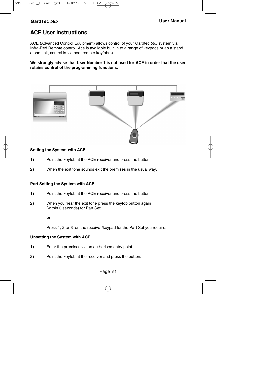## **ACE User Instructions**

ACE (Advanced Control Equipment) allows control of your Gardtec 595 system via Infra-Red Remote control. Ace is available built in to a range of keypads or as a stand alone unit, control is via neat remote keyfob(s).

**We strongly advise that User Number 1 is not used for ACE in order that the user retains control of the programming functions.**



#### **Setting the System with ACE**

- 1) Point the keyfob at the ACE receiver and press the button.
- 2) When the exit tone sounds exit the premises in the usual way.

#### **Part Setting the System with ACE**

- 1) Point the keyfob at the ACE receiver and press the button.
- 2) When you hear the exit tone press the keyfob button again (within 3 seconds) for Part Set 1.

**or**

Press 1, 2 or 3 on the receiver/keypad for the Part Set you require.

#### **Unsetting the System with ACE**

- 1) Enter the premises via an authorised entry point.
- 2) Point the keyfob at the receiver and press the button.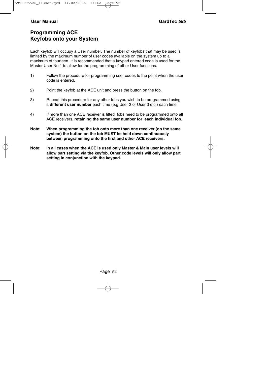## **Programming ACE Keyfobs onto your System**

Each keyfob will occupy a User number. The number of keyfobs that may be used is limited by the maximum number of user codes available on the system up to a maximum of fourteen. It is recommended that a keypad entered code is used for the Master User No.1 to allow for the programming of other User functions.

- 1) Follow the procedure for programming user codes to the point when the user code is entered.
- 2) Point the keyfob at the ACE unit and press the button on the fob.
- 3) Repeat this procedure for any other fobs you wish to be programmed using a **different user number** each time (e.g User 2 or User 3 etc.) each time.
- 4) If more than one ACE receiver is fitted fobs need to be programmed onto all ACE receivers, **retaining the same user number for each individual fob**.
- **Note: When programming the fob onto more than one receiver (on the same system) the button on the fob MUST be held down continuously between programming onto the first and other ACE receivers.**
- **Note: In all cases when the ACE is used only Master & Main user levels will allow part setting via the keyfob. Other code levels will only allow part setting in conjunction with the keypad.**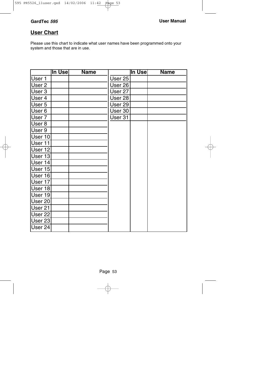## **User Chart**

Please use this chart to indicate what user names have been programmed onto your system and those that are in use.

|         | ∣In Use∣ | <b>Name</b> |         | ∣In Use∣ | <b>Name</b> |
|---------|----------|-------------|---------|----------|-------------|
| User 1  |          |             | User 25 |          |             |
| User 2  |          |             | User 26 |          |             |
| User 3  |          |             | User 27 |          |             |
| User 4  |          |             | User 28 |          |             |
| User 5  |          |             | User 29 |          |             |
| User 6  |          |             | User 30 |          |             |
| User 7  |          |             | User 31 |          |             |
| User 8  |          |             |         |          |             |
| User 9  |          |             |         |          |             |
| User 10 |          |             |         |          |             |
| User 11 |          |             |         |          |             |
| User 12 |          |             |         |          |             |
| User 13 |          |             |         |          |             |
| User 14 |          |             |         |          |             |
| User 15 |          |             |         |          |             |
| User 16 |          |             |         |          |             |
| User 17 |          |             |         |          |             |
| User 18 |          |             |         |          |             |
| User 19 |          |             |         |          |             |
| User 20 |          |             |         |          |             |
| User 21 |          |             |         |          |             |
| User 22 |          |             |         |          |             |
| User 23 |          |             |         |          |             |
| User 24 |          |             |         |          |             |